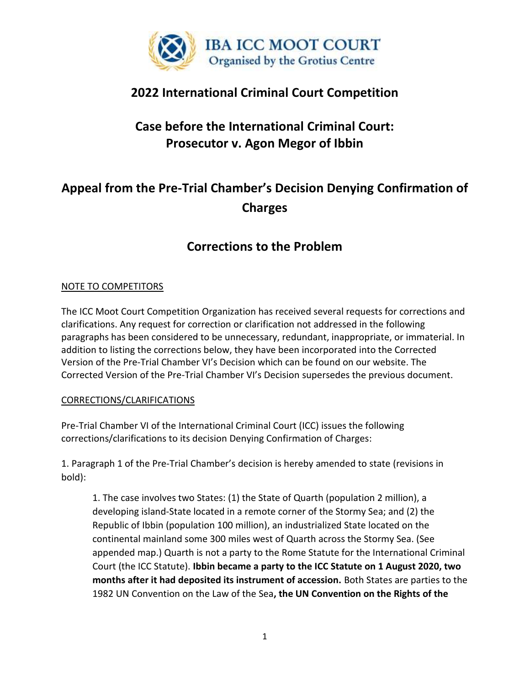

### **2022 International Criminal Court Competition**

# **Case before the International Criminal Court: Prosecutor v. Agon Megor of Ibbin**

# **Appeal from the Pre-Trial Chamber's Decision Denying Confirmation of Charges**

## **Corrections to the Problem**

#### NOTE TO COMPETITORS

The ICC Moot Court Competition Organization has received several requests for corrections and clarifications. Any request for correction or clarification not addressed in the following paragraphs has been considered to be unnecessary, redundant, inappropriate, or immaterial. In addition to listing the corrections below, they have been incorporated into the Corrected Version of the Pre-Trial Chamber VI's Decision which can be found on our website. The Corrected Version of the Pre-Trial Chamber VI's Decision supersedes the previous document.

#### CORRECTIONS/CLARIFICATIONS

Pre-Trial Chamber VI of the International Criminal Court (ICC) issues the following corrections/clarifications to its decision Denying Confirmation of Charges:

1. Paragraph 1 of the Pre-Trial Chamber's decision is hereby amended to state (revisions in bold):

1. The case involves two States: (1) the State of Quarth (population 2 million), a developing island-State located in a remote corner of the Stormy Sea; and (2) the Republic of Ibbin (population 100 million), an industrialized State located on the continental mainland some 300 miles west of Quarth across the Stormy Sea. (See appended map.) Quarth is not a party to the Rome Statute for the International Criminal Court (the ICC Statute). **Ibbin became a party to the ICC Statute on 1 August 2020, two months after it had deposited its instrument of accession.** Both States are parties to the 1982 UN Convention on the Law of the Sea**, the UN Convention on the Rights of the**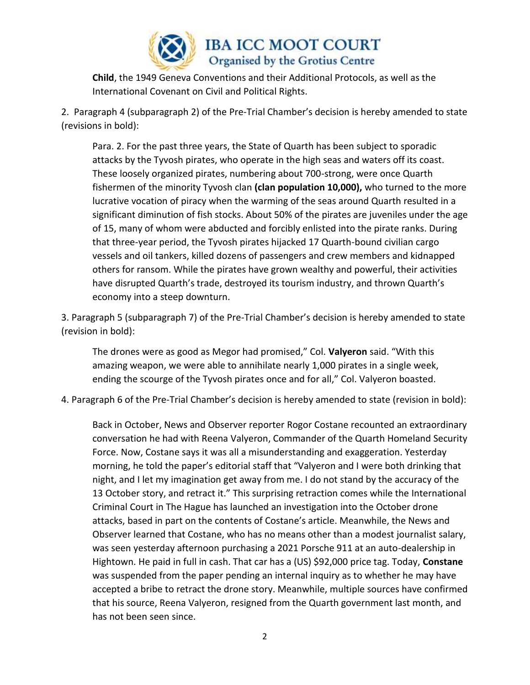

**IBA ICC MOOT COURT** Organised by the Grotius Centre

**Child**, the 1949 Geneva Conventions and their Additional Protocols, as well as the International Covenant on Civil and Political Rights.

2. Paragraph 4 (subparagraph 2) of the Pre-Trial Chamber's decision is hereby amended to state (revisions in bold):

Para. 2. For the past three years, the State of Quarth has been subject to sporadic attacks by the Tyvosh pirates, who operate in the high seas and waters off its coast. These loosely organized pirates, numbering about 700-strong, were once Quarth fishermen of the minority Tyvosh clan **(clan population 10,000),** who turned to the more lucrative vocation of piracy when the warming of the seas around Quarth resulted in a significant diminution of fish stocks. About 50% of the pirates are juveniles under the age of 15, many of whom were abducted and forcibly enlisted into the pirate ranks. During that three-year period, the Tyvosh pirates hijacked 17 Quarth-bound civilian cargo vessels and oil tankers, killed dozens of passengers and crew members and kidnapped others for ransom. While the pirates have grown wealthy and powerful, their activities have disrupted Quarth's trade, destroyed its tourism industry, and thrown Quarth's economy into a steep downturn.

3. Paragraph 5 (subparagraph 7) of the Pre-Trial Chamber's decision is hereby amended to state (revision in bold):

The drones were as good as Megor had promised," Col. **Valyeron** said. "With this amazing weapon, we were able to annihilate nearly 1,000 pirates in a single week, ending the scourge of the Tyvosh pirates once and for all," Col. Valyeron boasted.

4. Paragraph 6 of the Pre-Trial Chamber's decision is hereby amended to state (revision in bold):

Back in October, News and Observer reporter Rogor Costane recounted an extraordinary conversation he had with Reena Valyeron, Commander of the Quarth Homeland Security Force. Now, Costane says it was all a misunderstanding and exaggeration. Yesterday morning, he told the paper's editorial staff that "Valyeron and I were both drinking that night, and I let my imagination get away from me. I do not stand by the accuracy of the 13 October story, and retract it." This surprising retraction comes while the International Criminal Court in The Hague has launched an investigation into the October drone attacks, based in part on the contents of Costane's article. Meanwhile, the News and Observer learned that Costane, who has no means other than a modest journalist salary, was seen yesterday afternoon purchasing a 2021 Porsche 911 at an auto-dealership in Hightown. He paid in full in cash. That car has a (US) \$92,000 price tag. Today, **Constane** was suspended from the paper pending an internal inquiry as to whether he may have accepted a bribe to retract the drone story. Meanwhile, multiple sources have confirmed that his source, Reena Valyeron, resigned from the Quarth government last month, and has not been seen since.